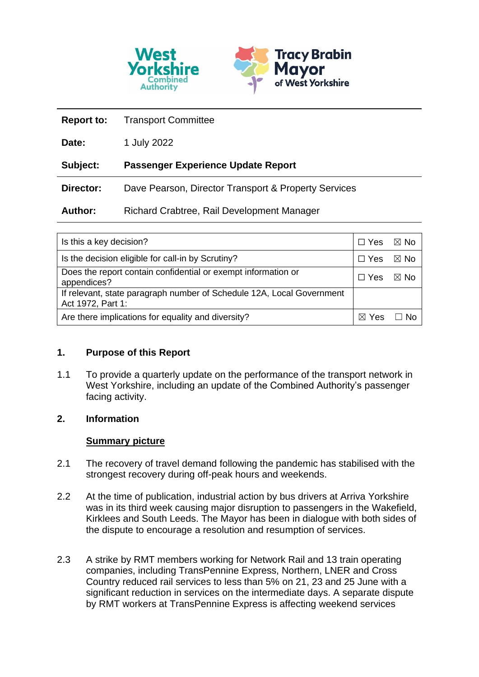

| <b>Report to:</b> | <b>Transport Committee</b>                           |
|-------------------|------------------------------------------------------|
| Date:             | 1 July 2022                                          |
| Subject:          | <b>Passenger Experience Update Report</b>            |
| Director:         | Dave Pearson, Director Transport & Property Services |
| <b>Author:</b>    | Richard Crabtree, Rail Development Manager           |

| Is this a key decision?                                                                    |  | $\boxtimes$ No |
|--------------------------------------------------------------------------------------------|--|----------------|
| Is the decision eligible for call-in by Scrutiny?                                          |  | ⊠ No           |
| Does the report contain confidential or exempt information or<br>appendices?               |  | ⊠ No           |
| If relevant, state paragraph number of Schedule 12A, Local Government<br>Act 1972, Part 1: |  |                |
| Are there implications for equality and diversity?                                         |  |                |

## **1. Purpose of this Report**

1.1 To provide a quarterly update on the performance of the transport network in West Yorkshire, including an update of the Combined Authority's passenger facing activity.

## **2. Information**

## **Summary picture**

- 2.1 The recovery of travel demand following the pandemic has stabilised with the strongest recovery during off-peak hours and weekends.
- 2.2 At the time of publication, industrial action by bus drivers at Arriva Yorkshire was in its third week causing major disruption to passengers in the Wakefield, Kirklees and South Leeds. The Mayor has been in dialogue with both sides of the dispute to encourage a resolution and resumption of services.
- 2.3 A strike by RMT members working for Network Rail and 13 train operating companies, including TransPennine Express, Northern, LNER and Cross Country reduced rail services to less than 5% on 21, 23 and 25 June with a significant reduction in services on the intermediate days. A separate dispute by RMT workers at TransPennine Express is affecting weekend services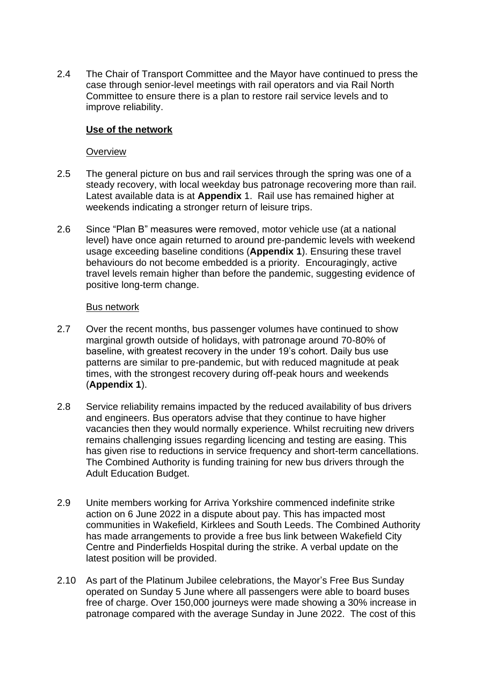2.4 The Chair of Transport Committee and the Mayor have continued to press the case through senior-level meetings with rail operators and via Rail North Committee to ensure there is a plan to restore rail service levels and to improve reliability.

## **Use of the network**

### **Overview**

- 2.5 The general picture on bus and rail services through the spring was one of a steady recovery, with local weekday bus patronage recovering more than rail. Latest available data is at **Appendix** 1. Rail use has remained higher at weekends indicating a stronger return of leisure trips.
- 2.6 Since "Plan B" measures were removed, motor vehicle use (at a national level) have once again returned to around pre-pandemic levels with weekend usage exceeding baseline conditions (**Appendix 1**). Ensuring these travel behaviours do not become embedded is a priority. Encouragingly, active travel levels remain higher than before the pandemic, suggesting evidence of positive long-term change.

#### Bus network

- 2.7 Over the recent months, bus passenger volumes have continued to show marginal growth outside of holidays, with patronage around 70-80% of baseline, with greatest recovery in the under 19's cohort. Daily bus use patterns are similar to pre-pandemic, but with reduced magnitude at peak times, with the strongest recovery during off-peak hours and weekends (**Appendix 1**).
- 2.8 Service reliability remains impacted by the reduced availability of bus drivers and engineers. Bus operators advise that they continue to have higher vacancies then they would normally experience. Whilst recruiting new drivers remains challenging issues regarding licencing and testing are easing. This has given rise to reductions in service frequency and short-term cancellations. The Combined Authority is funding training for new bus drivers through the Adult Education Budget.
- 2.9 Unite members working for Arriva Yorkshire commenced indefinite strike action on 6 June 2022 in a dispute about pay. This has impacted most communities in Wakefield, Kirklees and South Leeds. The Combined Authority has made arrangements to provide a free bus link between Wakefield City Centre and Pinderfields Hospital during the strike. A verbal update on the latest position will be provided.
- 2.10 As part of the Platinum Jubilee celebrations, the Mayor's Free Bus Sunday operated on Sunday 5 June where all passengers were able to board buses free of charge. Over 150,000 journeys were made showing a 30% increase in patronage compared with the average Sunday in June 2022. The cost of this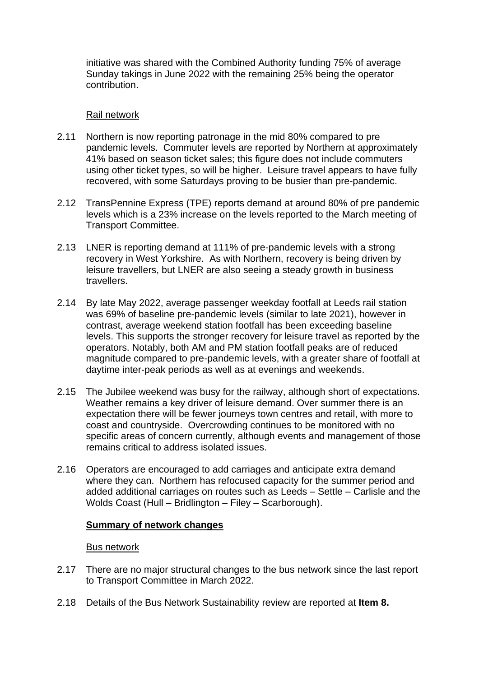initiative was shared with the Combined Authority funding 75% of average Sunday takings in June 2022 with the remaining 25% being the operator contribution.

### Rail network

- 2.11 Northern is now reporting patronage in the mid 80% compared to pre pandemic levels. Commuter levels are reported by Northern at approximately 41% based on season ticket sales; this figure does not include commuters using other ticket types, so will be higher. Leisure travel appears to have fully recovered, with some Saturdays proving to be busier than pre-pandemic.
- 2.12 TransPennine Express (TPE) reports demand at around 80% of pre pandemic levels which is a 23% increase on the levels reported to the March meeting of Transport Committee.
- 2.13 LNER is reporting demand at 111% of pre-pandemic levels with a strong recovery in West Yorkshire. As with Northern, recovery is being driven by leisure travellers, but LNER are also seeing a steady growth in business travellers.
- 2.14 By late May 2022, average passenger weekday footfall at Leeds rail station was 69% of baseline pre-pandemic levels (similar to late 2021), however in contrast, average weekend station footfall has been exceeding baseline levels. This supports the stronger recovery for leisure travel as reported by the operators. Notably, both AM and PM station footfall peaks are of reduced magnitude compared to pre-pandemic levels, with a greater share of footfall at daytime inter-peak periods as well as at evenings and weekends.
- 2.15 The Jubilee weekend was busy for the railway, although short of expectations. Weather remains a key driver of leisure demand. Over summer there is an expectation there will be fewer journeys town centres and retail, with more to coast and countryside. Overcrowding continues to be monitored with no specific areas of concern currently, although events and management of those remains critical to address isolated issues.
- 2.16 Operators are encouraged to add carriages and anticipate extra demand where they can. Northern has refocused capacity for the summer period and added additional carriages on routes such as Leeds – Settle – Carlisle and the Wolds Coast (Hull – Bridlington – Filey – Scarborough).

## **Summary of network changes**

## Bus network

- 2.17 There are no major structural changes to the bus network since the last report to Transport Committee in March 2022.
- 2.18 Details of the Bus Network Sustainability review are reported at **Item 8.**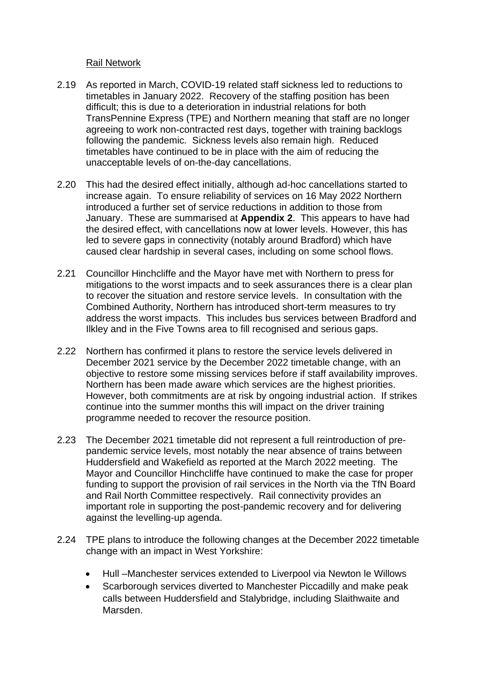## Rail Network

- 2.19 As reported in March, COVID-19 related staff sickness led to reductions to timetables in January 2022. Recovery of the staffing position has been difficult; this is due to a deterioration in industrial relations for both TransPennine Express (TPE) and Northern meaning that staff are no longer agreeing to work non-contracted rest days, together with training backlogs following the pandemic. Sickness levels also remain high. Reduced timetables have continued to be in place with the aim of reducing the unacceptable levels of on-the-day cancellations.
- 2.20 This had the desired effect initially, although ad-hoc cancellations started to increase again. To ensure reliability of services on 16 May 2022 Northern introduced a further set of service reductions in addition to those from January. These are summarised at **Appendix 2**. This appears to have had the desired effect, with cancellations now at lower levels. However, this has led to severe gaps in connectivity (notably around Bradford) which have caused clear hardship in several cases, including on some school flows.
- 2.21 Councillor Hinchcliffe and the Mayor have met with Northern to press for mitigations to the worst impacts and to seek assurances there is a clear plan to recover the situation and restore service levels. In consultation with the Combined Authority, Northern has introduced short-term measures to try address the worst impacts. This includes bus services between Bradford and Ilkley and in the Five Towns area to fill recognised and serious gaps.
- 2.22 Northern has confirmed it plans to restore the service levels delivered in December 2021 service by the December 2022 timetable change, with an objective to restore some missing services before if staff availability improves. Northern has been made aware which services are the highest priorities. However, both commitments are at risk by ongoing industrial action. If strikes continue into the summer months this will impact on the driver training programme needed to recover the resource position.
- 2.23 The December 2021 timetable did not represent a full reintroduction of prepandemic service levels, most notably the near absence of trains between Huddersfield and Wakefield as reported at the March 2022 meeting. The Mayor and Councillor Hinchcliffe have continued to make the case for proper funding to support the provision of rail services in the North via the TfN Board and Rail North Committee respectively. Rail connectivity provides an important role in supporting the post-pandemic recovery and for delivering against the levelling-up agenda.
- 2.24 TPE plans to introduce the following changes at the December 2022 timetable change with an impact in West Yorkshire:
	- Hull –Manchester services extended to Liverpool via Newton le Willows
	- Scarborough services diverted to Manchester Piccadilly and make peak calls between Huddersfield and Stalybridge, including Slaithwaite and Marsden.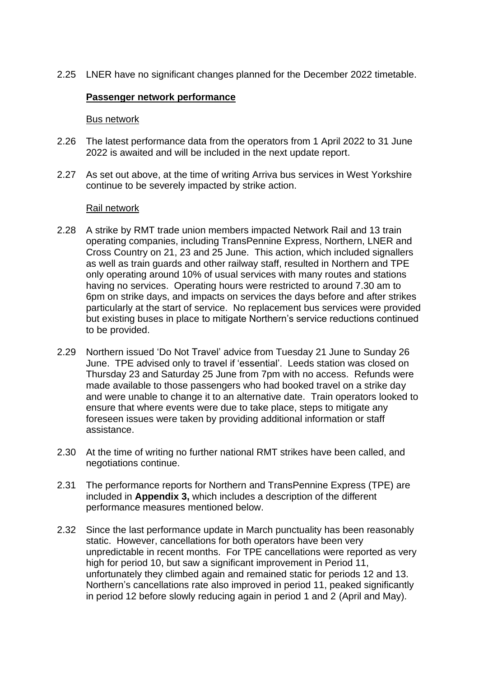2.25 LNER have no significant changes planned for the December 2022 timetable.

## **Passenger network performance**

#### Bus network

- 2.26 The latest performance data from the operators from 1 April 2022 to 31 June 2022 is awaited and will be included in the next update report.
- 2.27 As set out above, at the time of writing Arriva bus services in West Yorkshire continue to be severely impacted by strike action.

#### Rail network

- 2.28 A strike by RMT trade union members impacted Network Rail and 13 train operating companies, including TransPennine Express, Northern, LNER and Cross Country on 21, 23 and 25 June. This action, which included signallers as well as train guards and other railway staff, resulted in Northern and TPE only operating around 10% of usual services with many routes and stations having no services. Operating hours were restricted to around 7.30 am to 6pm on strike days, and impacts on services the days before and after strikes particularly at the start of service. No replacement bus services were provided but existing buses in place to mitigate Northern's service reductions continued to be provided.
- 2.29 Northern issued 'Do Not Travel' advice from Tuesday 21 June to Sunday 26 June. TPE advised only to travel if 'essential'. Leeds station was closed on Thursday 23 and Saturday 25 June from 7pm with no access. Refunds were made available to those passengers who had booked travel on a strike day and were unable to change it to an alternative date. Train operators looked to ensure that where events were due to take place, steps to mitigate any foreseen issues were taken by providing additional information or staff assistance.
- 2.30 At the time of writing no further national RMT strikes have been called, and negotiations continue.
- 2.31 The performance reports for Northern and TransPennine Express (TPE) are included in **Appendix 3,** which includes a description of the different performance measures mentioned below.
- 2.32 Since the last performance update in March punctuality has been reasonably static. However, cancellations for both operators have been very unpredictable in recent months. For TPE cancellations were reported as very high for period 10, but saw a significant improvement in Period 11, unfortunately they climbed again and remained static for periods 12 and 13. Northern's cancellations rate also improved in period 11, peaked significantly in period 12 before slowly reducing again in period 1 and 2 (April and May).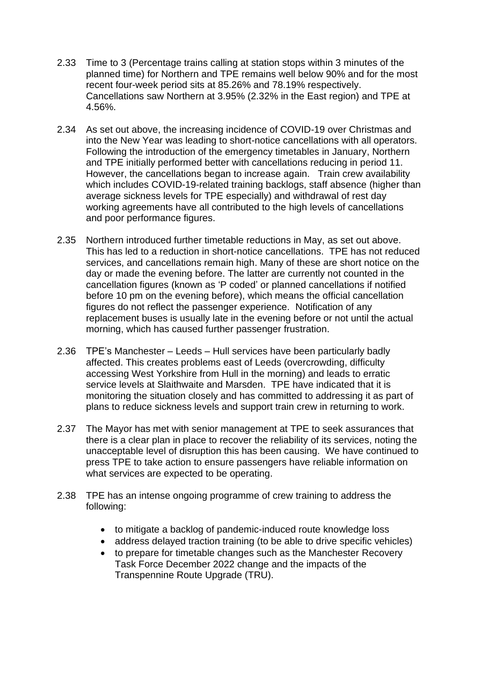- 2.33 Time to 3 (Percentage trains calling at station stops within 3 minutes of the planned time) for Northern and TPE remains well below 90% and for the most recent four-week period sits at 85.26% and 78.19% respectively. Cancellations saw Northern at 3.95% (2.32% in the East region) and TPE at 4.56%.
- 2.34 As set out above, the increasing incidence of COVID-19 over Christmas and into the New Year was leading to short-notice cancellations with all operators. Following the introduction of the emergency timetables in January, Northern and TPE initially performed better with cancellations reducing in period 11. However, the cancellations began to increase again. Train crew availability which includes COVID-19-related training backlogs, staff absence (higher than average sickness levels for TPE especially) and withdrawal of rest day working agreements have all contributed to the high levels of cancellations and poor performance figures.
- 2.35 Northern introduced further timetable reductions in May, as set out above. This has led to a reduction in short-notice cancellations. TPE has not reduced services, and cancellations remain high. Many of these are short notice on the day or made the evening before. The latter are currently not counted in the cancellation figures (known as 'P coded' or planned cancellations if notified before 10 pm on the evening before), which means the official cancellation figures do not reflect the passenger experience. Notification of any replacement buses is usually late in the evening before or not until the actual morning, which has caused further passenger frustration.
- 2.36 TPE's Manchester Leeds Hull services have been particularly badly affected. This creates problems east of Leeds (overcrowding, difficulty accessing West Yorkshire from Hull in the morning) and leads to erratic service levels at Slaithwaite and Marsden. TPE have indicated that it is monitoring the situation closely and has committed to addressing it as part of plans to reduce sickness levels and support train crew in returning to work.
- 2.37 The Mayor has met with senior management at TPE to seek assurances that there is a clear plan in place to recover the reliability of its services, noting the unacceptable level of disruption this has been causing. We have continued to press TPE to take action to ensure passengers have reliable information on what services are expected to be operating.
- 2.38 TPE has an intense ongoing programme of crew training to address the following:
	- to mitigate a backlog of pandemic-induced route knowledge loss
	- address delayed traction training (to be able to drive specific vehicles)
	- to prepare for timetable changes such as the Manchester Recovery Task Force December 2022 change and the impacts of the Transpennine Route Upgrade (TRU).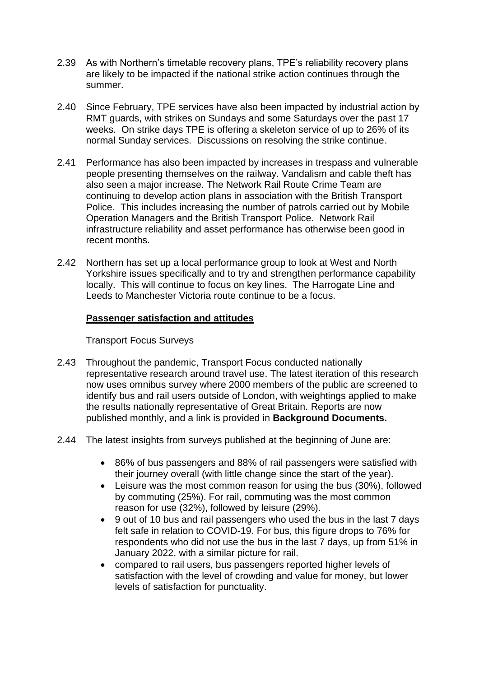- 2.39 As with Northern's timetable recovery plans, TPE's reliability recovery plans are likely to be impacted if the national strike action continues through the summer.
- 2.40 Since February, TPE services have also been impacted by industrial action by RMT guards, with strikes on Sundays and some Saturdays over the past 17 weeks. On strike days TPE is offering a skeleton service of up to 26% of its normal Sunday services. Discussions on resolving the strike continue.
- 2.41 Performance has also been impacted by increases in trespass and vulnerable people presenting themselves on the railway. Vandalism and cable theft has also seen a major increase. The Network Rail Route Crime Team are continuing to develop action plans in association with the British Transport Police. This includes increasing the number of patrols carried out by Mobile Operation Managers and the British Transport Police. Network Rail infrastructure reliability and asset performance has otherwise been good in recent months.
- 2.42 Northern has set up a local performance group to look at West and North Yorkshire issues specifically and to try and strengthen performance capability locally. This will continue to focus on key lines. The Harrogate Line and Leeds to Manchester Victoria route continue to be a focus.

# **Passenger satisfaction and attitudes**

## Transport Focus Surveys

- 2.43 Throughout the pandemic, Transport Focus conducted nationally representative research around travel use. The latest iteration of this research now uses omnibus survey where 2000 members of the public are screened to identify bus and rail users outside of London, with weightings applied to make the results nationally representative of Great Britain. Reports are now published monthly, and a link is provided in **Background Documents.**
- 2.44 The latest insights from surveys published at the beginning of June are:
	- 86% of bus passengers and 88% of rail passengers were satisfied with their journey overall (with little change since the start of the year).
	- Leisure was the most common reason for using the bus (30%), followed by commuting (25%). For rail, commuting was the most common reason for use (32%), followed by leisure (29%).
	- 9 out of 10 bus and rail passengers who used the bus in the last 7 days felt safe in relation to COVID-19. For bus, this figure drops to 76% for respondents who did not use the bus in the last 7 days, up from 51% in January 2022, with a similar picture for rail.
	- compared to rail users, bus passengers reported higher levels of satisfaction with the level of crowding and value for money, but lower levels of satisfaction for punctuality.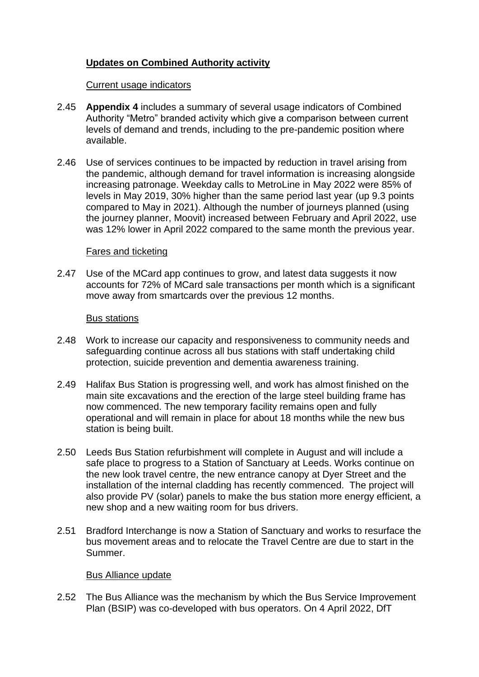# **Updates on Combined Authority activity**

### Current usage indicators

- 2.45 **Appendix 4** includes a summary of several usage indicators of Combined Authority "Metro" branded activity which give a comparison between current levels of demand and trends, including to the pre-pandemic position where available.
- 2.46 Use of services continues to be impacted by reduction in travel arising from the pandemic, although demand for travel information is increasing alongside increasing patronage. Weekday calls to MetroLine in May 2022 were 85% of levels in May 2019, 30% higher than the same period last year (up 9.3 points compared to May in 2021). Although the number of journeys planned (using the journey planner, Moovit) increased between February and April 2022, use was 12% lower in April 2022 compared to the same month the previous year.

#### Fares and ticketing

2.47 Use of the MCard app continues to grow, and latest data suggests it now accounts for 72% of MCard sale transactions per month which is a significant move away from smartcards over the previous 12 months.

#### Bus stations

- 2.48 Work to increase our capacity and responsiveness to community needs and safeguarding continue across all bus stations with staff undertaking child protection, suicide prevention and dementia awareness training.
- 2.49 Halifax Bus Station is progressing well, and work has almost finished on the main site excavations and the erection of the large steel building frame has now commenced. The new temporary facility remains open and fully operational and will remain in place for about 18 months while the new bus station is being built.
- 2.50 Leeds Bus Station refurbishment will complete in August and will include a safe place to progress to a Station of Sanctuary at Leeds. Works continue on the new look travel centre, the new entrance canopy at Dyer Street and the installation of the internal cladding has recently commenced. The project will also provide PV (solar) panels to make the bus station more energy efficient, a new shop and a new waiting room for bus drivers.
- 2.51 Bradford Interchange is now a Station of Sanctuary and works to resurface the bus movement areas and to relocate the Travel Centre are due to start in the Summer.

## Bus Alliance update

2.52 The Bus Alliance was the mechanism by which the Bus Service Improvement Plan (BSIP) was co-developed with bus operators. On 4 April 2022, DfT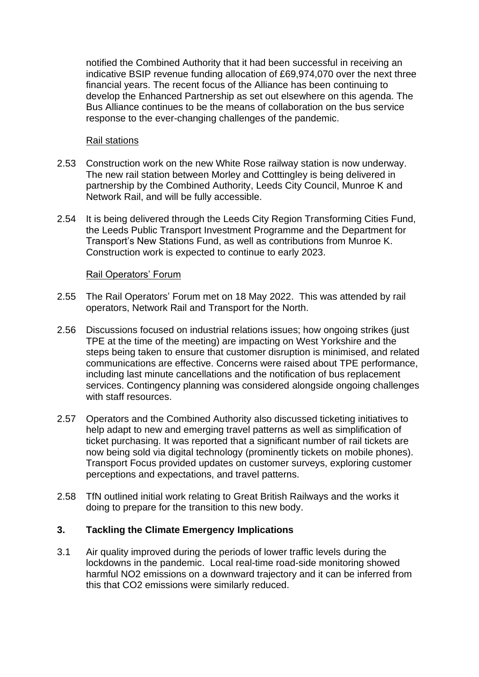notified the Combined Authority that it had been successful in receiving an indicative BSIP revenue funding allocation of £69,974,070 over the next three financial years. The recent focus of the Alliance has been continuing to develop the Enhanced Partnership as set out elsewhere on this agenda. The Bus Alliance continues to be the means of collaboration on the bus service response to the ever-changing challenges of the pandemic.

## Rail stations

- 2.53 Construction work on the new White Rose railway station is now underway. The new rail station between Morley and Cotttingley is being delivered in partnership by the Combined Authority, Leeds City Council, Munroe K and Network Rail, and will be fully accessible.
- 2.54 It is being delivered through the Leeds City Region Transforming Cities Fund, the Leeds Public Transport Investment Programme and the Department for Transport's New Stations Fund, as well as contributions from Munroe K. Construction work is expected to continue to early 2023.

#### Rail Operators' Forum

- 2.55 The Rail Operators' Forum met on 18 May 2022. This was attended by rail operators, Network Rail and Transport for the North.
- 2.56 Discussions focused on industrial relations issues; how ongoing strikes (just TPE at the time of the meeting) are impacting on West Yorkshire and the steps being taken to ensure that customer disruption is minimised, and related communications are effective. Concerns were raised about TPE performance, including last minute cancellations and the notification of bus replacement services. Contingency planning was considered alongside ongoing challenges with staff resources.
- 2.57 Operators and the Combined Authority also discussed ticketing initiatives to help adapt to new and emerging travel patterns as well as simplification of ticket purchasing. It was reported that a significant number of rail tickets are now being sold via digital technology (prominently tickets on mobile phones). Transport Focus provided updates on customer surveys, exploring customer perceptions and expectations, and travel patterns.
- 2.58 TfN outlined initial work relating to Great British Railways and the works it doing to prepare for the transition to this new body.

## **3. Tackling the Climate Emergency Implications**

3.1 Air quality improved during the periods of lower traffic levels during the lockdowns in the pandemic. Local real-time road-side monitoring showed harmful NO2 emissions on a downward trajectory and it can be inferred from this that CO2 emissions were similarly reduced.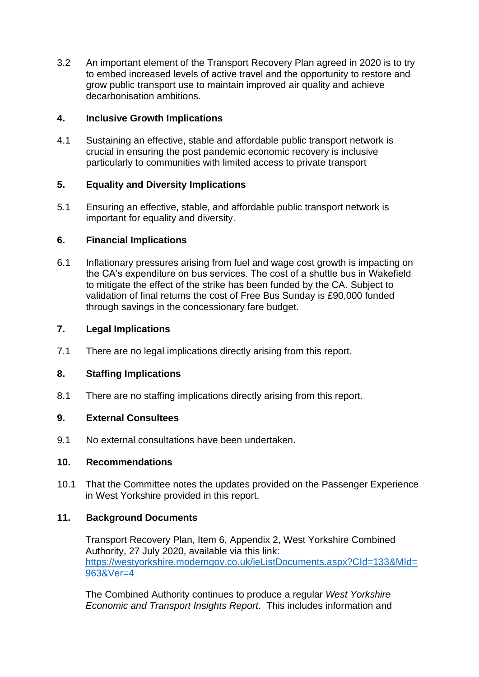3.2 An important element of the Transport Recovery Plan agreed in 2020 is to try to embed increased levels of active travel and the opportunity to restore and grow public transport use to maintain improved air quality and achieve decarbonisation ambitions.

## **4. Inclusive Growth Implications**

4.1 Sustaining an effective, stable and affordable public transport network is crucial in ensuring the post pandemic economic recovery is inclusive particularly to communities with limited access to private transport

# **5. Equality and Diversity Implications**

5.1 Ensuring an effective, stable, and affordable public transport network is important for equality and diversity.

# **6. Financial Implications**

6.1 Inflationary pressures arising from fuel and wage cost growth is impacting on the CA's expenditure on bus services. The cost of a shuttle bus in Wakefield to mitigate the effect of the strike has been funded by the CA. Subject to validation of final returns the cost of Free Bus Sunday is £90,000 funded through savings in the concessionary fare budget.

## **7. Legal Implications**

7.1 There are no legal implications directly arising from this report.

# **8. Staffing Implications**

8.1 There are no staffing implications directly arising from this report.

## **9. External Consultees**

9.1 No external consultations have been undertaken.

## **10. Recommendations**

10.1 That the Committee notes the updates provided on the Passenger Experience in West Yorkshire provided in this report.

# **11. Background Documents**

Transport Recovery Plan, Item 6, Appendix 2, West Yorkshire Combined Authority, 27 July 2020, available via this link: [https://westyorkshire.moderngov.co.uk/ieListDocuments.aspx?CId=133&MId=](https://westyorkshire.moderngov.co.uk/ieListDocuments.aspx?CId=133&MId=963&Ver=4) [963&Ver=4](https://westyorkshire.moderngov.co.uk/ieListDocuments.aspx?CId=133&MId=963&Ver=4)

The Combined Authority continues to produce a regular *West Yorkshire Economic and Transport Insights Report*. This includes information and